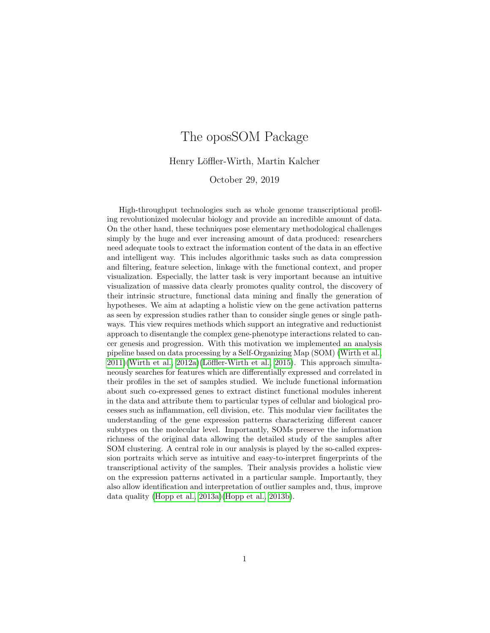# The oposSOM Package

Henry Löffler-Wirth, Martin Kalcher

October 29, 2019

High-throughput technologies such as whole genome transcriptional profiling revolutionized molecular biology and provide an incredible amount of data. On the other hand, these techniques pose elementary methodological challenges simply by the huge and ever increasing amount of data produced: researchers need adequate tools to extract the information content of the data in an effective and intelligent way. This includes algorithmic tasks such as data compression and filtering, feature selection, linkage with the functional context, and proper visualization. Especially, the latter task is very important because an intuitive visualization of massive data clearly promotes quality control, the discovery of their intrinsic structure, functional data mining and finally the generation of hypotheses. We aim at adapting a holistic view on the gene activation patterns as seen by expression studies rather than to consider single genes or single pathways. This view requires methods which support an integrative and reductionist approach to disentangle the complex gene-phenotype interactions related to cancer genesis and progression. With this motivation we implemented an analysis pipeline based on data processing by a Self-Organizing Map (SOM) [\(Wirth et al.,](#page-14-0)  $2011$ )(Wirth et al.,  $2012a$ )(Löffler-Wirth et al.,  $2015$ ). This approach simultaneously searches for features which are differentially expressed and correlated in their profiles in the set of samples studied. We include functional information about such co-expressed genes to extract distinct functional modules inherent in the data and attribute them to particular types of cellular and biological processes such as inflammation, cell division, etc. This modular view facilitates the understanding of the gene expression patterns characterizing different cancer subtypes on the molecular level. Importantly, SOMs preserve the information richness of the original data allowing the detailed study of the samples after SOM clustering. A central role in our analysis is played by the so-called expression portraits which serve as intuitive and easy-to-interpret fingerprints of the transcriptional activity of the samples. Their analysis provides a holistic view on the expression patterns activated in a particular sample. Importantly, they also allow identification and interpretation of outlier samples and, thus, improve data quality [\(Hopp et al., 2013a\)](#page-14-3)[\(Hopp et al., 2013b\)](#page-14-4).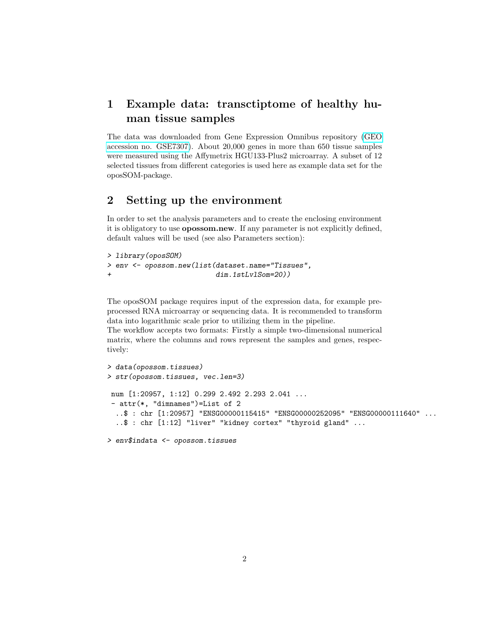# 1 Example data: transctiptome of healthy human tissue samples

The data was downloaded from Gene Expression Omnibus repository [\(GEO](http://www.ncbi.nlm.nih.gov/geo/query/acc.cgi?acc=GSE7307) [accession no. GSE7307\)](http://www.ncbi.nlm.nih.gov/geo/query/acc.cgi?acc=GSE7307). About 20,000 genes in more than 650 tissue samples were measured using the Affymetrix HGU133-Plus2 microarray. A subset of 12 selected tissues from different categories is used here as example data set for the oposSOM-package.

## 2 Setting up the environment

In order to set the analysis parameters and to create the enclosing environment it is obligatory to use opossom.new. If any parameter is not explicitly defined, default values will be used (see also Parameters section):

```
> library(oposSOM)
> env <- opossom.new(list(dataset.name="Tissues",
+ dim.1stLvlSom=20))
```
The oposSOM package requires input of the expression data, for example preprocessed RNA microarray or sequencing data. It is recommended to transform data into logarithmic scale prior to utilizing them in the pipeline.

The workflow accepts two formats: Firstly a simple two-dimensional numerical matrix, where the columns and rows represent the samples and genes, respectively:

```
> data(opossom.tissues)
> str(opossom.tissues, vec.len=3)
num [1:20957, 1:12] 0.299 2.492 2.293 2.041 ...
 - attr(*, "dimnames")=List of 2
  ..$ : chr [1:20957] "ENSG00000115415" "ENSG00000252095" "ENSG00000111640" ...
  ..$ : chr [1:12] "liver" "kidney cortex" "thyroid gland" ...
> env$indata <- opossom.tissues
```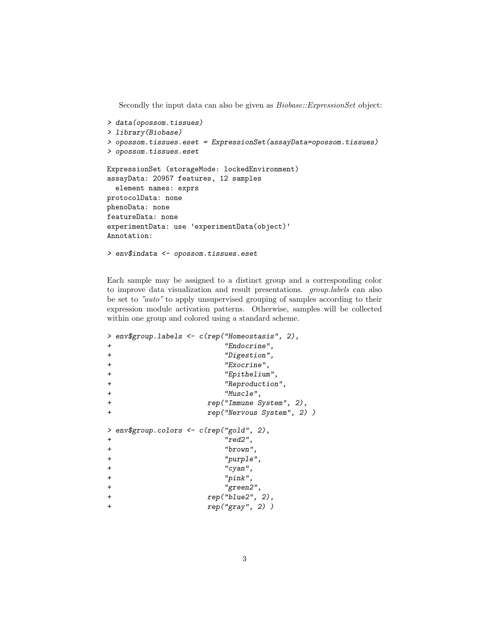Secondly the input data can also be given as  $Biobase::ExpressionSet$  object:

```
> data(opossom.tissues)
> library(Biobase)
> opossom.tissues.eset = ExpressionSet(assayData=opossom.tissues)
> opossom.tissues.eset
ExpressionSet (storageMode: lockedEnvironment)
assayData: 20957 features, 12 samples
  element names: exprs
protocolData: none
phenoData: none
featureData: none
experimentData: use 'experimentData(object)'
Annotation:
> env$indata <- opossom.tissues.eset
```
Each sample may be assigned to a distinct group and a corresponding color to improve data visualization and result presentations. group.labels can also be set to "auto" to apply unsupervised grouping of samples according to their expression module activation patterns. Otherwise, samples will be collected within one group and colored using a standard scheme.

```
> env$group.labels <- c(rep("Homeostasis", 2),
+ "Endocrine",
+ "Digestion",
+ "Exocrine",
+ "Epithelium",
+ "Reproduction",
+ "Muscle",
+ rep("Immune System", 2),
+ rep("Nervous System", 2) )
> env$group.colors <- c(rep("gold", 2),
+ "red2",
+ "brown",
+ "purple",
+ "cyan",
+ "pink",
+ "green2",
+ rep("blue2", 2),
+ rep("gray", 2) )
```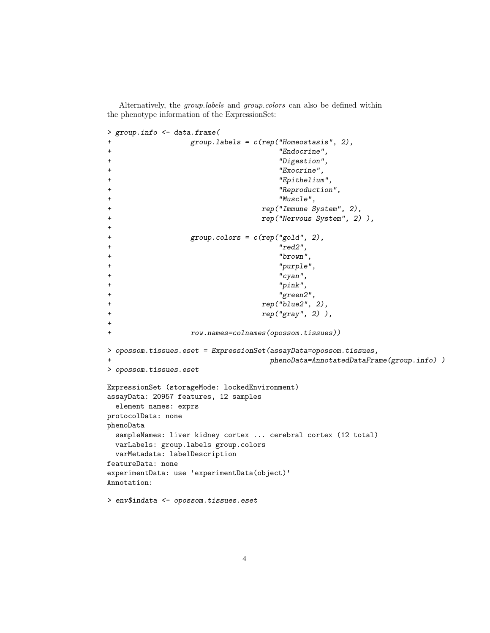Alternatively, the *group.labels* and *group.colors* can also be defined within the phenotype information of the ExpressionSet:

```
> group.info <- data.frame(
+ group.labels = c(rep("Homeostasis", 2),
+ "Endocrine",
+ "Digestion",
+ "Exocrine",
+ "Epithelium",
+ "Reproduction",
+ "Muscle",
+ rep("Immune System", 2),
+ rep("Nervous System", 2) ),
+
+ group.colors = c(rep("gold", 2),
+ "red2",
+ "brown",
+ "purple",
+ "cyan",
+ "pink",
+ "green2",
+ rep("blue2", 2),
+ rep("gray", 2) ),
+
+ row.names=colnames(opossom.tissues))
> opossom.tissues.eset = ExpressionSet(assayData=opossom.tissues,
+ phenoData=AnnotatedDataFrame(group.info) )
> opossom.tissues.eset
ExpressionSet (storageMode: lockedEnvironment)
assayData: 20957 features, 12 samples
 element names: exprs
protocolData: none
phenoData
 sampleNames: liver kidney cortex ... cerebral cortex (12 total)
 varLabels: group.labels group.colors
 varMetadata: labelDescription
featureData: none
experimentData: use 'experimentData(object)'
Annotation:
> env$indata <- opossom.tissues.eset
```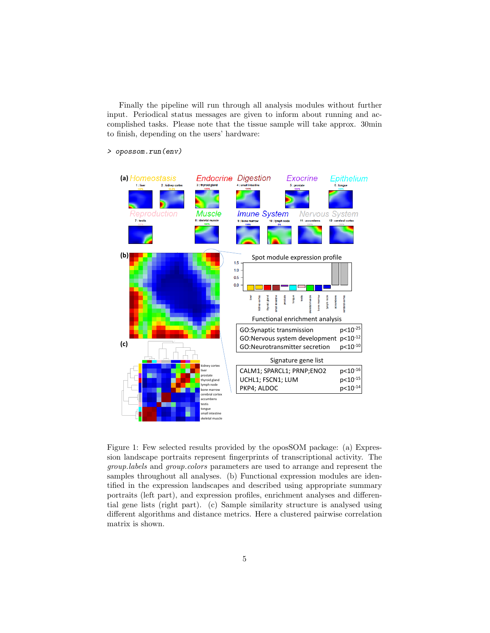Finally the pipeline will run through all analysis modules without further input. Periodical status messages are given to inform about running and accomplished tasks. Please note that the tissue sample will take approx. 30min to finish, depending on the users' hardware:

> opossom.run(env)



<span id="page-4-0"></span>Figure 1: Few selected results provided by the oposSOM package: (a) Expression landscape portraits represent fingerprints of transcriptional activity. The group.labels and group.colors parameters are used to arrange and represent the samples throughout all analyses. (b) Functional expression modules are identified in the expression landscapes and described using appropriate summary portraits (left part), and expression profiles, enrichment analyses and differential gene lists (right part). (c) Sample similarity structure is analysed using different algorithms and distance metrics. Here a clustered pairwise correlation matrix is shown.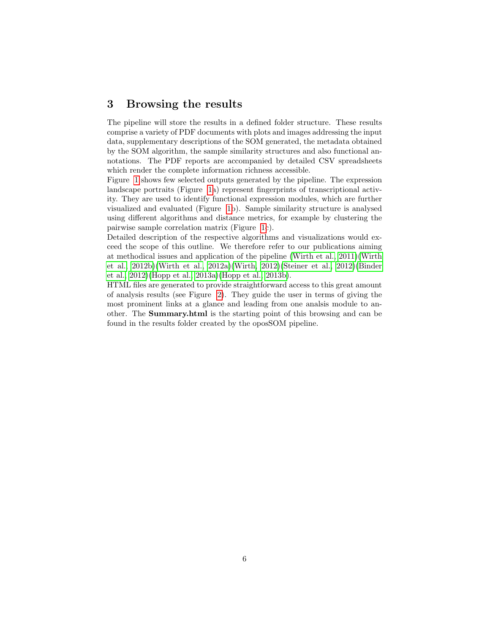#### 3 Browsing the results

The pipeline will store the results in a defined folder structure. These results comprise a variety of PDF documents with plots and images addressing the input data, supplementary descriptions of the SOM generated, the metadata obtained by the SOM algorithm, the sample similarity structures and also functional annotations. The PDF reports are accompanied by detailed CSV spreadsheets which render the complete information richness accessible.

Figure [1](#page-4-0) shows few selected outputs generated by the pipeline. The expression landscape portraits (Figure [1a](#page-4-0)) represent fingerprints of transcriptional activity. They are used to identify functional expression modules, which are further visualized and evaluated (Figure [1b](#page-4-0)). Sample similarity structure is analysed using different algorithms and distance metrics, for example by clustering the pairwise sample correlation matrix (Figure [1c](#page-4-0)).

Detailed description of the respective algorithms and visualizations would exceed the scope of this outline. We therefore refer to our publications aiming at methodical issues and application of the pipeline [\(Wirth et al., 2011\)](#page-14-0)[\(Wirth](#page-14-5) [et al., 2012b\)](#page-14-5)[\(Wirth et al., 2012a\)](#page-14-1)[\(Wirth, 2012\)](#page-14-6)[\(Steiner et al., 2012\)](#page-14-7)[\(Binder](#page-14-8) [et al., 2012\)](#page-14-8)[\(Hopp et al., 2013a\)](#page-14-3)[\(Hopp et al., 2013b\)](#page-14-4).

HTML files are generated to provide straightforward access to this great amount of analysis results (see Figure [2\)](#page-6-0). They guide the user in terms of giving the most prominent links at a glance and leading from one analsis module to another. The Summary.html is the starting point of this browsing and can be found in the results folder created by the oposSOM pipeline.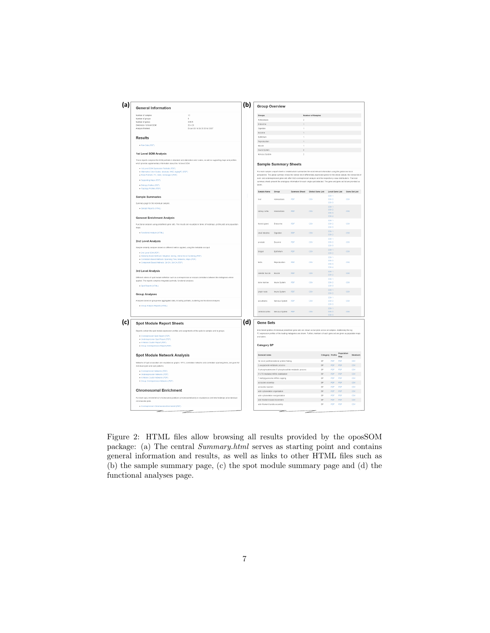

<span id="page-6-0"></span>Figure 2: HTML files allow browsing all results provided by the oposSOM package: (a) The central Summary.html serves as starting point and contains general information and results, as well as links to other HTML files such as (b) the sample summary page, (c) the spot module summary page and (d) the functional analyses page.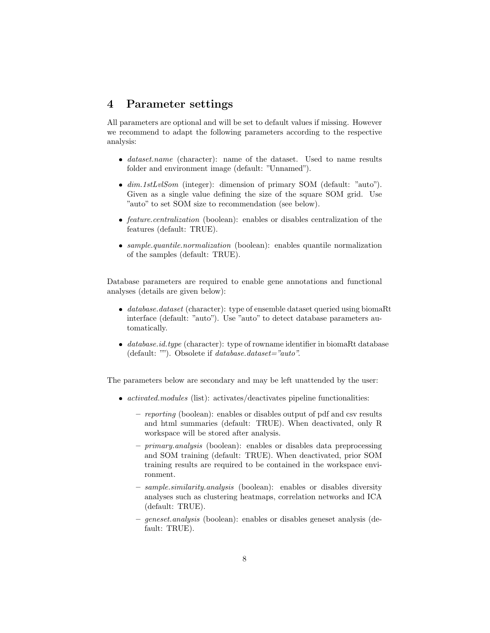#### 4 Parameter settings

All parameters are optional and will be set to default values if missing. However we recommend to adapt the following parameters according to the respective analysis:

- $\bullet$  dataset.name (character): name of the dataset. Used to name results folder and environment image (default: "Unnamed").
- dim.1stLvlSom (integer): dimension of primary SOM (default: "auto"). Given as a single value defining the size of the square SOM grid. Use "auto" to set SOM size to recommendation (see below).
- *feature.centralization* (boolean): enables or disables centralization of the features (default: TRUE).
- sample.quantile.normalization (boolean): enables quantile normalization of the samples (default: TRUE).

Database parameters are required to enable gene annotations and functional analyses (details are given below):

- $\bullet$  database.dataset (character): type of ensemble dataset queried using biomaRt interface (default: "auto"). Use "auto" to detect database parameters automatically.
- $\bullet$  database.id.type (character): type of rowname identifier in biomaRt database (default: ""). Obsolete if *database.dataset="auto"*.

The parameters below are secondary and may be left unattended by the user:

- *activated.modules* (list): activates/deactivates pipeline functionalities:
	- reporting (boolean): enables or disables output of pdf and csv results and html summaries (default: TRUE). When deactivated, only R workspace will be stored after analysis.
	- primary.analysis (boolean): enables or disables data preprocessing and SOM training (default: TRUE). When deactivated, prior SOM training results are required to be contained in the workspace environment.
	- sample.similarity.analysis (boolean): enables or disables diversity analyses such as clustering heatmaps, correlation networks and ICA (default: TRUE).
	- geneset.analysis (boolean): enables or disables geneset analysis (default: TRUE).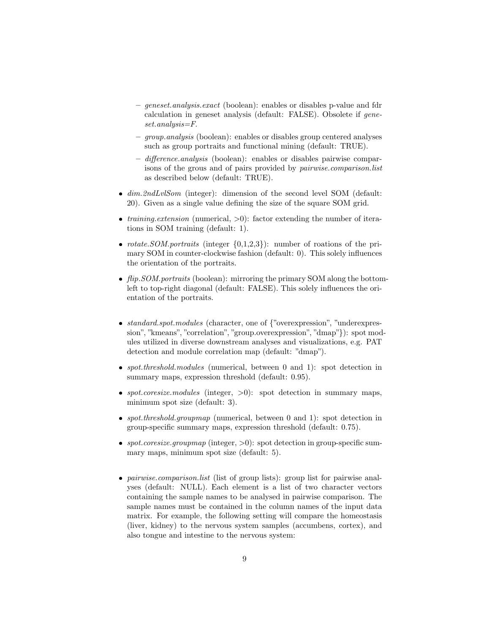- geneset.analysis.exact (boolean): enables or disables p-value and fdr calculation in geneset analysis (default: FALSE). Obsolete if geneset.analysis=F.
- group.analysis (boolean): enables or disables group centered analyses such as group portraits and functional mining (default: TRUE).
- difference.analysis (boolean): enables or disables pairwise comparisons of the grous and of pairs provided by pairwise.comparison.list as described below (default: TRUE).
- $\bullet$  dim.2ndLvlSom (integer): dimension of the second level SOM (default: 20). Given as a single value defining the size of the square SOM grid.
- *training.extension* (numerical,  $>0$ ): factor extending the number of iterations in SOM training (default: 1).
- *rotate.SOM.portraits* (integer  $\{0,1,2,3\}$ ): number of roations of the primary SOM in counter-clockwise fashion (default: 0). This solely influences the orientation of the portraits.
- $\bullet$  flip. SOM. portraits (boolean): mirroring the primary SOM along the bottomleft to top-right diagonal (default: FALSE). This solely influences the orientation of the portraits.
- standard.spot.modules (character, one of {"overexpression", "underexpression", "kmeans", "correlation", "group.overexpression", "dmap"}): spot modules utilized in diverse downstream analyses and visualizations, e.g. PAT detection and module correlation map (default: "dmap").
- spot.threshold.modules (numerical, between 0 and 1): spot detection in summary maps, expression threshold (default: 0.95).
- spot.coresize.modules (integer,  $>0$ ): spot detection in summary maps, minimum spot size (default: 3).
- spot.threshold.groupmap (numerical, between 0 and 1): spot detection in group-specific summary maps, expression threshold (default: 0.75).
- spot.coresize.groupmap (integer,  $>0$ ): spot detection in group-specific summary maps, minimum spot size (default: 5).
- *pairwise.comparison.list* (list of group lists): group list for pairwise analyses (default: NULL). Each element is a list of two character vectors containing the sample names to be analysed in pairwise comparison. The sample names must be contained in the column names of the input data matrix. For example, the following setting will compare the homeostasis (liver, kidney) to the nervous system samples (accumbens, cortex), and also tongue and intestine to the nervous system: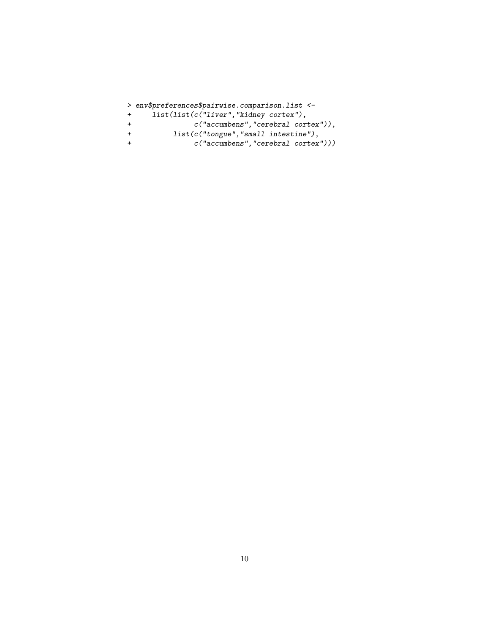|     | > env\$preferences\$pairwise.comparison.list <- |
|-----|-------------------------------------------------|
| $+$ | list(list(c("liver", "kidney cortex"),          |
|     | $c("accumbens", "cerebral cortex"))$ ,          |
|     | $list(c("tongue", "small intestimate"),$        |
|     | c("accumbens", "cerebral cortex"))              |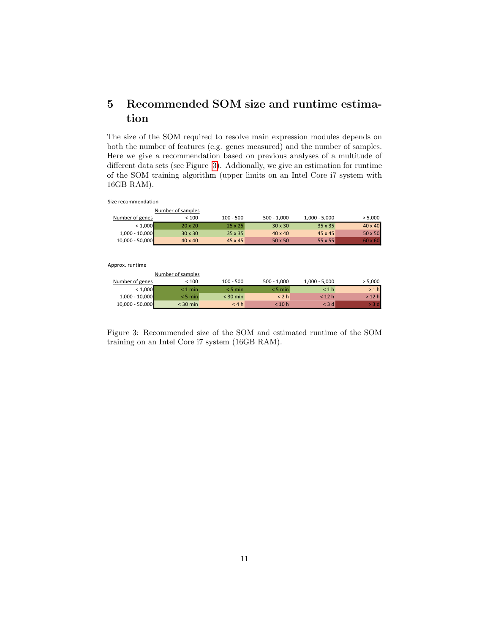# 5 Recommended SOM size and runtime estimation

The size of the SOM required to resolve main expression modules depends on both the number of features (e.g. genes measured) and the number of samples. Here we give a recommendation based on previous analyses of a multitude of different data sets (see Figure [3\)](#page-10-0). Addionally, we give an estimation for runtime of the SOM training algorithm (upper limits on an Intel Core i7 system with 16GB RAM).

Size recommendation

|                   | Number of samples |                |                |                 |                |
|-------------------|-------------------|----------------|----------------|-----------------|----------------|
| Number of genes   | < 100             | $100 - 500$    | $500 - 1,000$  | $1,000 - 5,000$ | > 5,000        |
| < 1,000           | $20 \times 20$    | $25 \times 25$ | $30 \times 30$ | $35 \times 35$  | $40 \times 40$ |
| $1,000 - 10,000$  | $30 \times 30$    | $35 \times 35$ | $40 \times 40$ | 45 x 45         | $50 \times 50$ |
| $10,000 - 50,000$ | $40 \times 40$    | 45 x 45        | $50 \times 50$ | 55 x 55         | $60 \times 60$ |

Approx. runtime

|                   | Number of samples |             |               |                 |         |
|-------------------|-------------------|-------------|---------------|-----------------|---------|
| Number of genes   | < 100             | $100 - 500$ | $500 - 1.000$ | $1,000 - 5,000$ | > 5,000 |
| < 1,000           | $< 1$ min         | $< 5$ min   | $< 5$ min     | < 1 h           | >1 h    |
| $1,000 - 10,000$  | $<$ 5 min         | $<$ 30 min  | < 2 h         | $<$ 12 h        | > 12 h  |
| $10,000 - 50,000$ | $<$ 30 min        | < 4 h       | < 10 h        | $<$ 3 d         | 3 d     |

<span id="page-10-0"></span>Figure 3: Recommended size of the SOM and estimated runtime of the SOM training on an Intel Core i7 system (16GB RAM).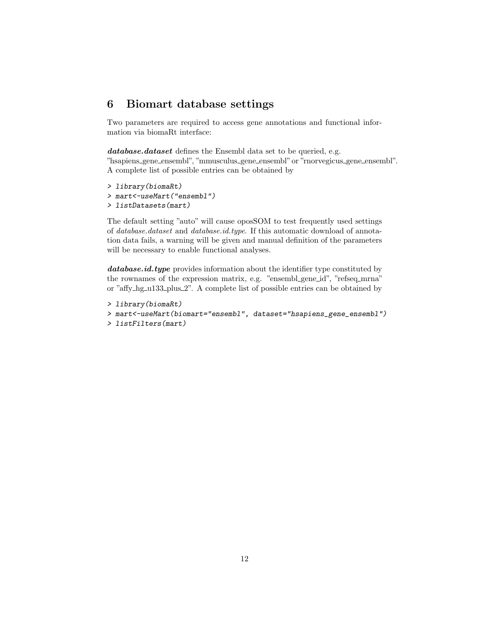## 6 Biomart database settings

Two parameters are required to access gene annotations and functional information via biomaRt interface:

database.dataset defines the Ensembl data set to be queried, e.g. "hsapiens gene ensembl", "mmusculus gene ensembl"or "rnorvegicus gene ensembl". A complete list of possible entries can be obtained by

```
> library(biomaRt)
> mart<-useMart("ensembl")
> listDatasets(mart)
```
The default setting "auto" will cause oposSOM to test frequently used settings of database.dataset and database.id.type. If this automatic download of annotation data fails, a warning will be given and manual definition of the parameters will be necessary to enable functional analyses.

database.id.type provides information about the identifier type constituted by the rownames of the expression matrix, e.g. "ensembl\_gene\_id", "refseq\_mrna" or "affy\_hg\_u133\_plus\_2". A complete list of possible entries can be obtained by

```
> library(biomaRt)
```

```
> mart<-useMart(biomart="ensembl", dataset="hsapiens_gene_ensembl")
```

```
> listFilters(mart)
```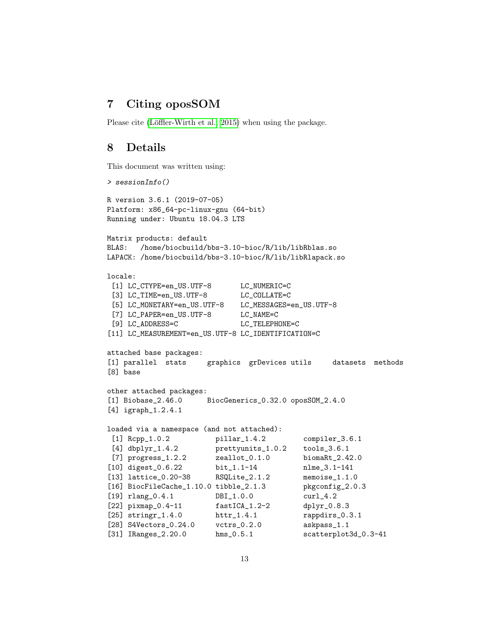### 7 Citing oposSOM

Please cite (Löffler-Wirth et al., 2015) when using the package.

### 8 Details

This document was written using:

```
> sessionInfo()
R version 3.6.1 (2019-07-05)
Platform: x86_64-pc-linux-gnu (64-bit)
Running under: Ubuntu 18.04.3 LTS
Matrix products: default
BLAS: /home/biocbuild/bbs-3.10-bioc/R/lib/libRblas.so
LAPACK: /home/biocbuild/bbs-3.10-bioc/R/lib/libRlapack.so
locale:
[1] LC_CTYPE=en_US.UTF-8 LC_NUMERIC=C
[3] LC_TIME=en_US.UTF-8 LC_COLLATE=C
[5] LC_MONETARY=en_US.UTF-8 LC_MESSAGES=en_US.UTF-8
[7] LC_PAPER=en_US.UTF-8 LC_NAME=C
[9] LC_ADDRESS=C LC_TELEPHONE=C
[11] LC_MEASUREMENT=en_US.UTF-8 LC_IDENTIFICATION=C
attached base packages:
[1] parallel stats graphics grDevices utils datasets methods
[8] base
other attached packages:
[1] Biobase_2.46.0 BiocGenerics_0.32.0 oposSOM_2.4.0
[4] igraph_1.2.4.1
loaded via a namespace (and not attached):
[1] Rcpp_1.0.2 pillar_1.4.2 compiler_3.6.1
[4] dbplyr_1.4.2 prettyunits_1.0.2 tools_3.6.1
[7] progress_1.2.2 zeallot_0.1.0 biomaRt_2.42.0
[10] digest_0.6.22 bit_1.1-14 nlme_3.1-141
[13] lattice_0.20-38 RSQLite_2.1.2 memoise_1.1.0
[16] BiocFileCache_1.10.0 tibble_2.1.3 pkgconfig_2.0.3
[19] rlang_0.4.1 DBI_1.0.0 curl_4.2
[22] pixmap_0.4-11 fastICA_1.2-2 dplyr_0.8.3
[25] stringr_1.4.0 httr_1.4.1 rappdirs_0.3.1
[28] S4Vectors_0.24.0 vctrs_0.2.0 askpass_1.1
[31] IRanges_2.20.0 hms_0.5.1 scatterplot3d_0.3-41
```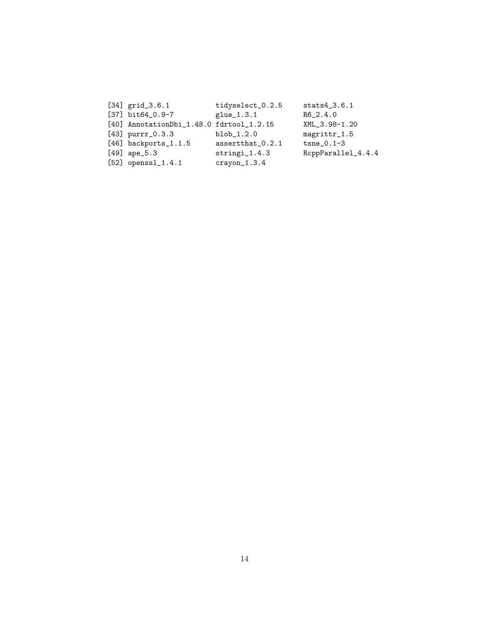| $[34]$ grid_3.6.1                        | tidyselect_0.2.5 | $stats4_3.6.1$     |
|------------------------------------------|------------------|--------------------|
| $[37]$ bit64_0.9-7                       | glue_1.3.1       | $R6_{-}2.4.0$      |
| [40] AnnotationDbi_1.48.0 fdrtool_1.2.15 |                  | XML_3.98-1.20      |
| $[43]$ purrr_0.3.3                       | $blob_1.2.0$     | magrittr_1.5       |
| $[46]$ backports_1.1.5                   | assertthat_0.2.1 | $tsne_0.1-3$       |
| $[49]$ ape_5.3                           | $stringi_1.4.3$  | RcppParallel_4.4.4 |
| $[52]$ openssl_1.4.1                     | $crayon_1.3.4$   |                    |
|                                          |                  |                    |